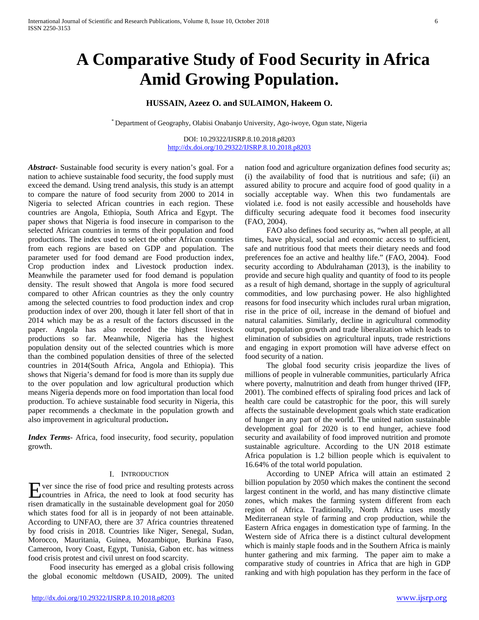# **A Comparative Study of Food Security in Africa Amid Growing Population.**

## **HUSSAIN, Azeez O. and SULAIMON, Hakeem O.**

\* Department of Geography, Olabisi Onabanjo University, Ago-iwoye, Ogun state, Nigeria

DOI: 10.29322/IJSRP.8.10.2018.p8203 <http://dx.doi.org/10.29322/IJSRP.8.10.2018.p8203>

*Abstract***-** Sustainable food security is every nation's goal. For a nation to achieve sustainable food security, the food supply must exceed the demand. Using trend analysis, this study is an attempt to compare the nature of food security from 2000 to 2014 in Nigeria to selected African countries in each region. These countries are Angola, Ethiopia, South Africa and Egypt. The paper shows that Nigeria is food insecure in comparison to the selected African countries in terms of their population and food productions. The index used to select the other African countries from each regions are based on GDP and population. The parameter used for food demand are Food production index, Crop production index and Livestock production index. Meanwhile the parameter used for food demand is population density. The result showed that Angola is more food secured compared to other African countries as they the only country among the selected countries to food production index and crop production index of over 200, though it later fell short of that in 2014 which may be as a result of the factors discussed in the paper. Angola has also recorded the highest livestock productions so far. Meanwhile, Nigeria has the highest population density out of the selected countries which is more than the combined population densities of three of the selected countries in 2014(South Africa, Angola and Ethiopia). This shows that Nigeria's demand for food is more than its supply due to the over population and low agricultural production which means Nigeria depends more on food importation than local food production. To achieve sustainable food security in Nigeria, this paper recommends a checkmate in the population growth and also improvement in agricultural production**.**

*Index Terms*- Africa, food insecurity, food security, population growth.

#### I. INTRODUCTION

ver since the rise of food price and resulting protests across Exercise the rise of food price and resulting protests across<br>countries in Africa, the need to look at food security has risen dramatically in the sustainable development goal for 2050 which states food for all is in jeopardy of not been attainable. According to UNFAO, there are 37 Africa countries threatened by food crisis in 2018. Countries like Niger, Senegal, Sudan, Morocco, Mauritania, Guinea, Mozambique, Burkina Faso, Cameroon, Ivory Coast, Egypt, Tunisia, Gabon etc. has witness food crisis protest and civil unrest on food scarcity.

 Food insecurity has emerged as a global crisis following the global economic meltdown (USAID, 2009). The united nation food and agriculture organization defines food security as; (i) the availability of food that is nutritious and safe; (ii) an assured ability to procure and acquire food of good quality in a socially acceptable way. When this two fundamentals are violated i.e. food is not easily accessible and households have difficulty securing adequate food it becomes food insecurity (FAO, 2004).

 FAO also defines food security as, "when all people, at all times, have physical, social and economic access to sufficient, safe and nutritious food that meets their dietary needs and food preferences foe an active and healthy life." (FAO, 2004). Food security according to Abdulrahaman (2013), is the inability to provide and secure high quality and quantity of food to its people as a result of high demand, shortage in the supply of agricultural commodities, and low purchasing power. He also highlighted reasons for food insecurity which includes rural urban migration, rise in the price of oil, increase in the demand of biofuel and natural calamities. Similarly, decline in agricultural commodity output, population growth and trade liberalization which leads to elimination of subsidies on agricultural inputs, trade restrictions and engaging in export promotion will have adverse effect on food security of a nation.

 The global food security crisis jeopardize the lives of millions of people in vulnerable communities, particularly Africa where poverty, malnutrition and death from hunger thrived (IFP, 2001). The combined effects of spiraling food prices and lack of health care could be catastrophic for the poor, this will surely affects the sustainable development goals which state eradication of hunger in any part of the world. The united nation sustainable development goal for 2020 is to end hunger, achieve food security and availability of food improved nutrition and promote sustainable agriculture. According to the UN 2018 estimate Africa population is 1.2 billion people which is equivalent to 16.64% of the total world population.

 According to UNEP Africa will attain an estimated 2 billion population by 2050 which makes the continent the second largest continent in the world, and has many distinctive climate zones, which makes the farming system different from each region of Africa. Traditionally, North Africa uses mostly Mediterranean style of farming and crop production, while the Eastern Africa engages in domestication type of farming. In the Western side of Africa there is a distinct cultural development which is mainly staple foods and in the Southern Africa is mainly hunter gathering and mix farming. The paper aim to make a comparative study of countries in Africa that are high in GDP ranking and with high population has they perform in the face of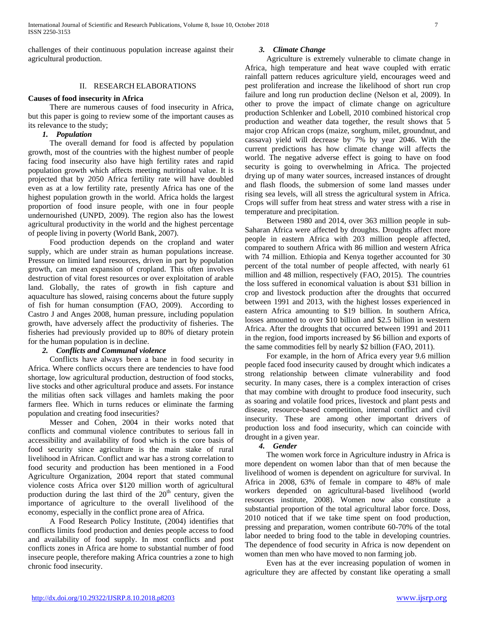challenges of their continuous population increase against their agricultural production.

#### II. RESEARCH ELABORATIONS

#### **Causes of food insecurity in Africa**

 There are numerous causes of food insecurity in Africa, but this paper is going to review some of the important causes as its relevance to the study;

#### *1. Population*

 The overall demand for food is affected by population growth, most of the countries with the highest number of people facing food insecurity also have high fertility rates and rapid population growth which affects meeting nutritional value. It is projected that by 2050 Africa fertility rate will have doubled even as at a low fertility rate, presently Africa has one of the highest population growth in the world. Africa holds the largest proportion of food insure people, with one in four people undernourished (UNPD, 2009). The region also has the lowest agricultural productivity in the world and the highest percentage of people living in poverty (World Bank, 2007).

 Food production depends on the cropland and water supply, which are under strain as human populations increase. Pressure on limited land resources, driven in part by population growth, can mean expansion of cropland. This often involves destruction of vital forest resources or over exploitation of arable land. Globally, the rates of growth in fish capture and aquaculture has slowed, raising concerns about the future supply of fish for human consumption (FAO, 2009). According to Castro J and Anges 2008, human pressure, including population growth, have adversely affect the productivity of fisheries. The fisheries had previously provided up to 80% of dietary protein for the human population is in decline.

## *2. Conflicts and Communal violence*

 Conflicts have always been a bane in food security in Africa. Where conflicts occurs there are tendencies to have food shortage, low agricultural production, destruction of food stocks, live stocks and other agricultural produce and assets. For instance the militias often sack villages and hamlets making the poor farmers flee. Which in turns reduces or eliminate the farming population and creating food insecurities?

 Messer and Cohen, 2004 in their works noted that conflicts and communal violence contributes to serious fall in accessibility and availability of food which is the core basis of food security since agriculture is the main stake of rural livelihood in African. Conflict and war has a strong correlation to food security and production has been mentioned in a Food Agriculture Organization, 2004 report that stated communal violence costs Africa over \$120 million worth of agricultural production during the last third of the  $20<sup>th</sup>$  century, given the importance of agriculture to the overall livelihood of the economy, especially in the conflict prone area of Africa.

 A Food Research Policy Institute, (2004) identifies that conflicts limits food production and denies people access to food and availability of food supply. In most conflicts and post conflicts zones in Africa are home to substantial number of food insecure people, therefore making Africa countries a zone to high chronic food insecurity.

#### *3. Climate Change*

 Agriculture is extremely vulnerable to climate change in Africa, high temperature and heat wave coupled with erratic rainfall pattern reduces agriculture yield, encourages weed and pest proliferation and increase the likelihood of short run crop failure and long run production decline (Nelson et al, 2009). In other to prove the impact of climate change on agriculture production Schlenker and Lobell, 2010 combined historical crop production and weather data together, the result shows that 5 major crop African crops (maize, sorghum, milet, groundnut, and cassava) yield will decrease by 7% by year 2046. With the current predictions has how climate change will affects the world. The negative adverse effect is going to have on food security is going to overwhelming in Africa. The projected drying up of many water sources, increased instances of drought and flash floods, the submersion of some land masses under rising sea levels, will all stress the agricultural system in Africa. Crops will suffer from heat stress and water stress with a rise in temperature and precipitation.

 Between 1980 and 2014, over 363 million people in sub-Saharan Africa were affected by droughts. Droughts affect more people in eastern Africa with 203 million people affected, compared to southern Africa with 86 million and western Africa with 74 million. Ethiopia and Kenya together accounted for 30 percent of the total number of people affected, with nearly 61 million and 48 million, respectively (FAO, 2015). The countries the loss suffered in economical valuation is about \$31 billion in crop and livestock production after the droughts that occurred between 1991 and 2013, with the highest losses experienced in eastern Africa amounting to \$19 billion. In southern Africa, losses amounted to over \$10 billion and \$2.5 billion in western Africa. After the droughts that occurred between 1991 and 2011 in the region, food imports increased by \$6 billion and exports of the same commodities fell by nearly \$2 billion (FAO, 2011).

 For example, in the horn of Africa every year 9.6 million people faced food insecurity caused by drought which indicates a strong relationship between climate vulnerability and food security. In many cases, there is a complex interaction of crises that may combine with drought to produce food insecurity, such as soaring and volatile food prices, livestock and plant pests and disease, resource-based competition, internal conflict and civil insecurity. These are among other important drivers of production loss and food insecurity, which can coincide with drought in a given year.

## *4. Gender*

 The women work force in Agriculture industry in Africa is more dependent on women labor than that of men because the livelihood of women is dependent on agriculture for survival. In Africa in 2008, 63% of female in compare to 48% of male workers depended on agricultural-based livelihood (world resources institute, 2008). Women now also constitute a substantial proportion of the total agricultural labor force. Doss, 2010 noticed that if we take time spent on food production, pressing and preparation, women contribute 60-70% of the total labor needed to bring food to the table in developing countries. The dependence of food security in Africa is now dependent on women than men who have moved to non farming job.

 Even has at the ever increasing population of women in agriculture they are affected by constant like operating a small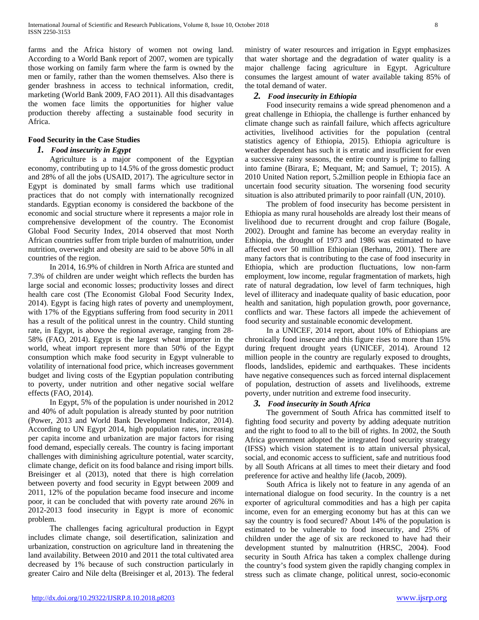farms and the Africa history of women not owing land. According to a World Bank report of 2007, women are typically those working on family farm where the farm is owned by the men or family, rather than the women themselves. Also there is gender brashness in access to technical information, credit, marketing (World Bank 2009, FAO 2011). All this disadvantages the women face limits the opportunities for higher value production thereby affecting a sustainable food security in Africa.

## **Food Security in the Case Studies**

## *1. Food insecurity in Egypt*

 Agriculture is a major component of the Egyptian economy, contributing up to 14.5% of the gross domestic product and 28% of all the jobs (USAID, 2017). The agriculture sector in Egypt is dominated by small farms which use traditional practices that do not comply with internationally recognized standards. Egyptian economy is considered the backbone of the economic and social structure where it represents a major role in comprehensive development of the country. The Economist Global Food Security Index, 2014 observed that most North African countries suffer from triple burden of malnutrition, under nutrition, overweight and obesity are said to be above 50% in all countries of the region.

 In 2014, 16.9% of children in North Africa are stunted and 7.3% of children are under weight which reflects the burden has large social and economic losses; productivity losses and direct health care cost (The Economist Global Food Security Index, 2014). Egypt is facing high rates of poverty and unemployment, with 17% of the Egyptians suffering from food security in 2011 has a result of the political unrest in the country. Child stunting rate, in Egypt, is above the regional average, ranging from 28- 58% (FAO, 2014). Egypt is the largest wheat importer in the world, wheat import represent more than 50% of the Egypt consumption which make food security in Egypt vulnerable to volatility of international food price, which increases government budget and living costs of the Egyptian population contributing to poverty, under nutrition and other negative social welfare effects (FAO, 2014).

 In Egypt, 5% of the population is under nourished in 2012 and 40% of adult population is already stunted by poor nutrition (Power, 2013 and World Bank Development Indicator, 2014). According to UN Egypt 2014, high population rates, increasing per capita income and urbanization are major factors for rising food demand, especially cereals. The country is facing important challenges with diminishing agriculture potential, water scarcity, climate change, deficit on its food balance and rising import bills. Breisinger et al (2013), noted that there is high correlation between poverty and food security in Egypt between 2009 and 2011, 12% of the population became food insecure and income poor, it can be concluded that with poverty rate around 26% in 2012-2013 food insecurity in Egypt is more of economic problem.

 The challenges facing agricultural production in Egypt includes climate change, soil desertification, salinization and urbanization, construction on agriculture land in threatening the land availability. Between 2010 and 2011 the total cultivated area decreased by 1% because of such construction particularly in greater Cairo and Nile delta (Breisinger et al, 2013). The federal ministry of water resources and irrigation in Egypt emphasizes that water shortage and the degradation of water quality is a major challenge facing agriculture in Egypt. Agriculture consumes the largest amount of water available taking 85% of the total demand of water.

## *2. Food insecurity in Ethiopia*

 Food insecurity remains a wide spread phenomenon and a great challenge in Ethiopia, the challenge is further enhanced by climate change such as rainfall failure, which affects agriculture activities, livelihood activities for the population (central statistics agency of Ethiopia, 2015). Ethiopia agriculture is weather dependent has such it is erratic and insufficient for even a successive rainy seasons, the entire country is prime to falling into famine (Birara, E; Mequant, M; and Samuel, T; 2015). A 2010 United Nation report, 5.2million people in Ethiopia face an uncertain food security situation. The worsening food security situation is also attributed primarily to poor rainfall (UN, 2010).

 The problem of food insecurity has become persistent in Ethiopia as many rural households are already lost their means of livelihood due to recurrent drought and crop failure (Bogale, 2002). Drought and famine has become an everyday reality in Ethiopia, the drought of 1973 and 1986 was estimated to have affected over 50 million Ethiopian (Berhanu, 2001). There are many factors that is contributing to the case of food insecurity in Ethiopia, which are production fluctuations, low non-farm employment, low income, regular fragmentation of markets, high rate of natural degradation, low level of farm techniques, high level of illiteracy and inadequate quality of basic education, poor health and sanitation, high population growth, poor governance, conflicts and war. These factors all impede the achievement of food security and sustainable economic development.

 In a UNICEF, 2014 report, about 10% of Ethiopians are chronically food insecure and this figure rises to more than 15% during frequent drought years (UNICEF, 2014). Around 12 million people in the country are regularly exposed to droughts, floods, landslides, epidemic and earthquakes. These incidents have negative consequences such as forced internal displacement of population, destruction of assets and livelihoods, extreme poverty, under nutrition and extreme food insecurity.

## *3. Food insecurity in South Africa*

 The government of South Africa has committed itself to fighting food security and poverty by adding adequate nutrition and the right to food to all to the bill of rights. In 2002, the South Africa government adopted the integrated food security strategy (IFSS) which vision statement is to attain universal physical, social, and economic access to sufficient, safe and nutritious food by all South Africans at all times to meet their dietary and food preference for active and healthy life (Jacob, 2009).

 South Africa is likely not to feature in any agenda of an international dialogue on food security. In the country is a net exporter of agricultural commodities and has a high per capita income, even for an emerging economy but has at this can we say the country is food secured? About 14% of the population is estimated to be vulnerable to food insecurity, and 25% of children under the age of six are reckoned to have had their development stunted by malnutrition (HRSC, 2004). Food security in South Africa has taken a complex challenge during the country's food system given the rapidly changing complex in stress such as climate change, political unrest, socio-economic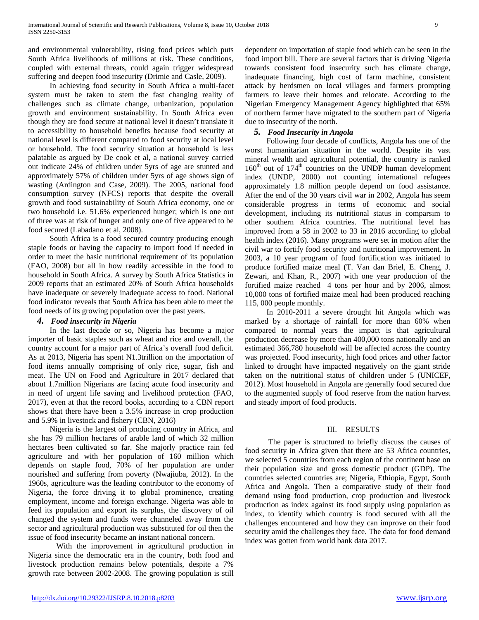and environmental vulnerability, rising food prices which puts South Africa livelihoods of millions at risk. These conditions, coupled with external threats, could again trigger widespread suffering and deepen food insecurity (Drimie and Casle, 2009).

 In achieving food security in South Africa a multi-facet system must be taken to stem the fast changing reality of challenges such as climate change, urbanization, population growth and environment sustainability. In South Africa even though they are food secure at national level it doesn't translate it to accessibility to household benefits because food security at national level is different compared to food security at local level or household. The food security situation at household is less palatable as argued by De cook et al, a national survey carried out indicate 24% of children under 5yrs of age are stunted and approximately 57% of children under 5yrs of age shows sign of wasting (Ardington and Case, 2009). The 2005, national food consumption survey (NFCS) reports that despite the overall growth and food sustainability of South Africa economy, one or two household i.e. 51.6% experienced hunger; which is one out of three was at risk of hunger and only one of five appeared to be food secured (Labadano et al, 2008).

 South Africa is a food secured country producing enough staple foods or having the capacity to import food if needed in order to meet the basic nutritional requirement of its population (FAO, 2008) but all in how readily accessible in the food to household in South Africa. A survey by South Africa Statistics in 2009 reports that an estimated 20% of South Africa households have inadequate or severely inadequate access to food. National food indicator reveals that South Africa has been able to meet the food needs of its growing population over the past years.

## *4. Food insecurity in Nigeria*

 In the last decade or so, Nigeria has become a major importer of basic staples such as wheat and rice and overall, the country account for a major part of Africa's overall food deficit. As at 2013, Nigeria has spent N1.3trillion on the importation of food items annually comprising of only rice, sugar, fish and meat. The UN on Food and Agriculture in 2017 declared that about 1.7million Nigerians are facing acute food insecurity and in need of urgent life saving and livelihood protection (FAO, 2017), even at that the record books, according to a CBN report shows that there have been a 3.5% increase in crop production and 5.9% in livestock and fishery (CBN, 2016)

 Nigeria is the largest oil producing country in Africa, and she has 79 million hectares of arable land of which 32 million hectares been cultivated so far. She majorly practice rain fed agriculture and with her population of 160 million which depends on staple food, 70% of her population are under nourished and suffering from poverty (Nwajiuba, 2012). In the 1960s, agriculture was the leading contributor to the economy of Nigeria, the force driving it to global prominence, creating employment, income and foreign exchange. Nigeria was able to feed its population and export its surplus, the discovery of oil changed the system and funds were channeled away from the sector and agricultural production was substituted for oil then the issue of food insecurity became an instant national concern.

With the improvement in agricultural production in Nigeria since the democratic era in the country, both food and livestock production remains below potentials, despite a 7% growth rate between 2002-2008. The growing population is still dependent on importation of staple food which can be seen in the food import bill. There are several factors that is driving Nigeria towards consistent food insecurity such has climate change, inadequate financing, high cost of farm machine, consistent attack by herdsmen on local villages and farmers prompting farmers to leave their homes and relocate. According to the Nigerian Emergency Management Agency highlighted that 65% of northern farmer have migrated to the southern part of Nigeria due to insecurity of the north.

## *5. Food Insecurity in Angola*

 Following four decade of conflicts, Angola has one of the worst humanitarian situation in the world. Despite its vast mineral wealth and agricultural potential, the country is ranked  $160<sup>th</sup>$  out of  $174<sup>th</sup>$  countries on the UNDP human development index (UNDP, 2000) not counting international refugees approximately 1.8 million people depend on food assistance. After the end of the 30 years civil war in 2002, Angola has seem considerable progress in terms of economic and social development, including its nutritional status in comparsim to other southern Africa countries. The nutritional level has improved from a 58 in 2002 to 33 in 2016 according to global health index (2016). Many programs were set in motion after the civil war to fortify food security and nutritional improvement. In 2003, a 10 year program of food fortification was initiated to produce fortified maize meal (T. Van dan Briel, E. Cheng, J. Zewari, and Khan, R., 2007) with one year production of the fortified maize reached 4 tons per hour and by 2006, almost 10,000 tons of fortified maize meal had been produced reaching 115, 000 people monthly.

 In 2010-2011 a severe drought hit Angola which was marked by a shortage of rainfall for more than 60% when compared to normal years the impact is that agricultural production decrease by more than 400,000 tons nationally and an estimated 366,780 household will be affected across the country was projected. Food insecurity, high food prices and other factor linked to drought have impacted negatively on the giant stride taken on the nutritional status of children under 5 (UNICEF, 2012). Most household in Angola are generally food secured due to the augmented supply of food reserve from the nation harvest and steady import of food products.

## III. RESULTS

 The paper is structured to briefly discuss the causes of food security in Africa given that there are 53 Africa countries, we selected 5 countries from each region of the continent base on their population size and gross domestic product (GDP). The countries selected countries are; Nigeria, Ethiopia, Egypt, South Africa and Angola. Then a comparative study of their food demand using food production, crop production and livestock production as index against its food supply using population as index, to identify which country is food secured with all the challenges encountered and how they can improve on their food security amid the challenges they face. The data for food demand index was gotten from world bank data 2017.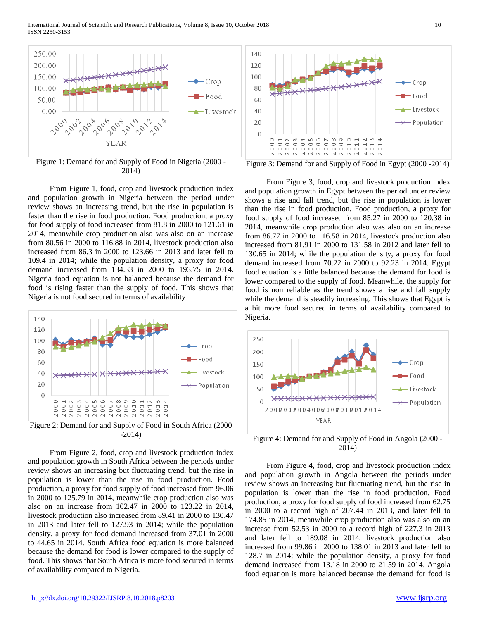International Journal of Scientific and Research Publications, Volume 8, Issue 10, October 2018 10 ISSN 2250-3153



2014)

 From Figure 1, food, crop and livestock production index and population growth in Nigeria between the period under review shows an increasing trend, but the rise in population is faster than the rise in food production. Food production, a proxy for food supply of food increased from 81.8 in 2000 to 121.61 in 2014, meanwhile crop production also was also on an increase from 80.56 in 2000 to 116.88 in 2014, livestock production also increased from 86.3 in 2000 to 123.66 in 2013 and later fell to 109.4 in 2014; while the population density, a proxy for food demand increased from 134.33 in 2000 to 193.75 in 2014. Nigeria food equation is not balanced because the demand for food is rising faster than the supply of food. This shows that Nigeria is not food secured in terms of availability



-2014)

 From Figure 2, food, crop and livestock production index and population growth in South Africa between the periods under review shows an increasing but fluctuating trend, but the rise in population is lower than the rise in food production. Food production, a proxy for food supply of food increased from 96.06 in 2000 to 125.79 in 2014, meanwhile crop production also was also on an increase from 102.47 in 2000 to 123.22 in 2014, livestock production also increased from 89.41 in 2000 to 130.47 in 2013 and later fell to 127.93 in 2014; while the population density, a proxy for food demand increased from 37.01 in 2000 to 44.65 in 2014. South Africa food equation is more balanced because the demand for food is lower compared to the supply of food. This shows that South Africa is more food secured in terms of availability compared to Nigeria.

Figure 3: Demand for and Supply of Food in Egypt (2000 -2014)

 From Figure 3, food, crop and livestock production index and population growth in Egypt between the period under review shows a rise and fall trend, but the rise in population is lower than the rise in food production. Food production, a proxy for food supply of food increased from 85.27 in 2000 to 120.38 in 2014, meanwhile crop production also was also on an increase from 86.77 in 2000 to 116.58 in 2014, livestock production also increased from 81.91 in 2000 to 131.58 in 2012 and later fell to 130.65 in 2014; while the population density, a proxy for food demand increased from 70.22 in 2000 to 92.23 in 2014. Egypt food equation is a little balanced because the demand for food is lower compared to the supply of food. Meanwhile, the supply for food is non reliable as the trend shows a rise and fall supply while the demand is steadily increasing. This shows that Egypt is a bit more food secured in terms of availability compared to Nigeria.



Figure 4: Demand for and Supply of Food in Angola (2000 - 2014)

 From Figure 4, food, crop and livestock production index and population growth in Angola between the periods under review shows an increasing but fluctuating trend, but the rise in population is lower than the rise in food production. Food production, a proxy for food supply of food increased from 62.75 in 2000 to a record high of 207.44 in 2013, and later fell to 174.85 in 2014, meanwhile crop production also was also on an increase from 52.53 in 2000 to a record high of 227.3 in 2013 and later fell to 189.08 in 2014, livestock production also increased from 99.86 in 2000 to 138.01 in 2013 and later fell to 128.7 in 2014; while the population density, a proxy for food demand increased from 13.18 in 2000 to 21.59 in 2014. Angola food equation is more balanced because the demand for food is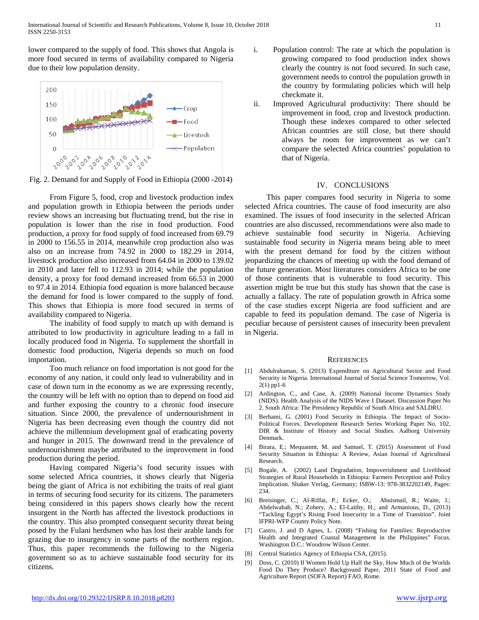lower compared to the supply of food. This shows that Angola is more food secured in terms of availability compared to Nigeria due to their low population density.



Fig. 2. Demand for and Supply of Food in Ethiopia (2000 -2014)

 From Figure 5, food, crop and livestock production index and population growth in Ethiopia between the periods under review shows an increasing but fluctuating trend, but the rise in population is lower than the rise in food production. Food production, a proxy for food supply of food increased from 69.79 in 2000 to 156.55 in 2014, meanwhile crop production also was also on an increase from 74.92 in 2000 to 182.29 in 2014, livestock production also increased from 64.04 in 2000 to 139.02 in 2010 and later fell to 112.93 in 2014; while the population density, a proxy for food demand increased from 66.53 in 2000 to 97.4 in 2014. Ethiopia food equation is more balanced because the demand for food is lower compared to the supply of food. This shows that Ethiopia is more food secured in terms of availability compared to Nigeria.

 The inability of food supply to match up with demand is attributed to low productivity in agriculture leading to a fall in locally produced food in Nigeria. To supplement the shortfall in domestic food production, Nigeria depends so much on food importation.

 Too much reliance on food importation is not good for the economy of any nation, it could only lead to vulnerability and in case of down turn in the economy as we are expressing recently, the country will be left with no option than to depend on food aid and further exposing the country to a chronic food insecure situation. Since 2000, the prevalence of undernourishment in Nigeria has been decreasing even though the country did not achieve the millennium development goal of eradicating poverty and hunger in 2015. The downward trend in the prevalence of undernourishment maybe attributed to the improvement in food production during the period.

 Having compared Nigeria's food security issues with some selected Africa countries, it shows clearly that Nigeria being the giant of Africa is not exhibiting the traits of real giant in terms of securing food security for its citizens. The parameters being considered in this papers shows clearly how the recent insurgent in the North has affected the livestock productions in the country. This also prompted consequent security threat being posed by the Fulani herdsmen who has lost their arable lands for grazing due to insurgency in some parts of the northern region. Thus, this paper recommends the following to the Nigeria government so as to achieve sustainable food security for its citizens.

- i. Population control: The rate at which the population is growing compared to food production index shows clearly the country is not food secured. In such case, government needs to control the population growth in the country by formulating policies which will help checkmate it.
- ii. Improved Agricultural productivity: There should be improvement in food, crop and livestock production. Though these indexes compared to other selected African countries are still close, but there should always be room for improvement as we can't compare the selected Africa countries' population to that of Nigeria.

#### IV. CONCLUSIONS

 This paper compares food security in Nigeria to some selected Africa countries. The cause of food insecurity are also examined. The issues of food insecurity in the selected African countries are also discussed, recommendations were also made to achieve sustainable food security in Nigeria. Achieving sustainable food security in Nigeria means being able to meet with the present demand for food by the citizen without jeopardizing the chances of meeting up with the food demand of the future generation. Most literatures considers Africa to be one of those continents that is vulnerable to food security. This assertion might be true but this study has shown that the case is actually a fallacy. The rate of population growth in Africa some of the case studies except Nigeria are food sufficient and are capable to feed its population demand. The case of Nigeria is peculiar because of persistent causes of insecurity been prevalent in Nigeria.

#### **REFERENCES**

- [1] Abdulrahaman, S. (2013) Expenditure on Agricultural Sector and Food Security in Nigeria. International Journal of Social Science Tomorrow, Vol. 2(1) pp1-6
- [2] Ardington, C., and Case, A. (2009) National Income Dynamics Study (NIDS). Health Analysis of the NIDS Wave 1 Dataset. Discussion Paper No 2. South Africa: The Presidency Republic of South Africa and SALDRU.
- [3] Berhami, G. (2001) Food Security in Ethiopia. The Impact of Socio-Political Forces. Development Research Series Working Paper No. 102, DIR & Institute of History and Social Studies. Aalborg University Denmark.
- [4] Birara, E.; Mequanmt, M. and Samuel, T. (2015) Assessment of Food Security Situation in Ethiopia: A Review, Asian Journal of Agricultural Research.
- [5] Bogale, A. (2002) Land Degradation, Impoverishment and Livelihood Strategies of Rural Households in Ethiopia: Farmers Perception and Policy Implication. Shaker Verlag, Germany; ISBW-13: 978-3832202149, Pages: 234.
- [6] Breisinger, C.; Al-Riffai, P.; Ecker, O.; Abuismail, R.; Waite, J.; Abdelwahab, N.; Zohery, A.; El-Laithy, H.; and Armanious, D., (2013) "Tackling Egypt's Rising Food Insecurity in a Time of Transition". Joint IFPRI-WFP County Policy Note.
- [7] Castro, J. and D Agnes, L. (2008) "Fishing for Families: Reproductive Health and Integrated Coastal Management in the Philippines" Focus. Washington D.C.: Woodrow Wilson Center.
- [8] Central Statistics Agency of Ethiopia CSA, (2015).
- [9] Doss, C. (2010) If Women Hold Up Half the Sky, How Much of the Worlds Food Do They Produce? Background Paper, 2011 State of Food and Agriculture Report (SOFA Report) FAO, Rome.